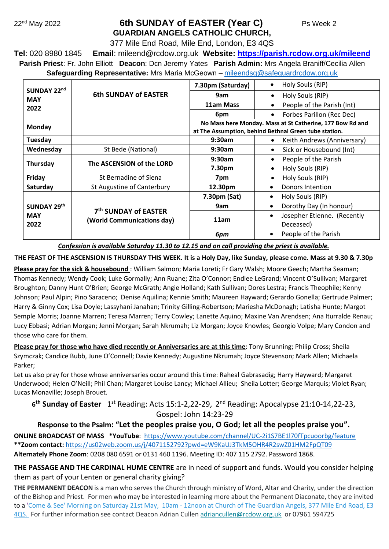## 22nd May 2022 **6th SUNDAY of EASTER (Year C)** Ps Week 2 **GUARDIAN ANGELS CATHOLIC CHURCH,**

377 Mile End Road, Mile End, London, E3 4QS

**Tel**: 020 8980 1845 **Email**: [mileend@rcdow.org.uk](about:blank) **Website: [https://parish.rcdow.org.uk/mileend](about:blank) Parish Priest**: Fr. John Elliott **Deacon**: Dcn Jeremy Yates **Parish Admin:** Mrs Angela Braniff/Cecilia Allen **Safeguarding Representative:** Mrs Maria McGeown – [mileendsg@safeguardrcdow.org.uk](mailto:mileendsg@safeguardrcdow.org.uk)

| SUNDAY 22nd<br><b>MAY</b><br>2022 | <b>6th SUNDAY of EASTER</b>                                    | 7.30pm (Saturday)                                                                                                  | Holy Souls (RIP)<br>$\bullet$                         |
|-----------------------------------|----------------------------------------------------------------|--------------------------------------------------------------------------------------------------------------------|-------------------------------------------------------|
|                                   |                                                                | 9am                                                                                                                | Holy Souls (RIP)<br>$\bullet$                         |
|                                   |                                                                | 11am Mass                                                                                                          | People of the Parish (Int)<br>$\bullet$               |
|                                   |                                                                | 6pm                                                                                                                | Forbes Parillon (Rec Dec)<br>$\bullet$                |
| Monday                            |                                                                | No Mass here Monday. Mass at St Catherine, 177 Bow Rd and<br>at The Assumption, behind Bethnal Green tube station. |                                                       |
| Tuesday                           |                                                                | 9:30am                                                                                                             | Keith Andrews (Anniversary)<br>٠                      |
| Wednesday                         | St Bede (National)                                             | 9:30am                                                                                                             | Sick or Housebound (Int)<br>$\bullet$                 |
| Thursday                          | The ASCENSION of the LORD                                      | 9:30am                                                                                                             | People of the Parish<br>$\bullet$                     |
|                                   |                                                                | 7.30pm                                                                                                             | Holy Souls (RIP)<br>$\bullet$                         |
| Friday                            | St Bernadine of Siena                                          | 7pm                                                                                                                | Holy Souls (RIP)<br>$\bullet$                         |
| Saturday                          | St Augustine of Canterbury                                     | 12.30pm                                                                                                            | Donors Intention<br>٠                                 |
| SUNDAY 29th<br><b>MAY</b><br>2022 | 7 <sup>th</sup> SUNDAY of EASTER<br>(World Communications day) | 7.30pm (Sat)                                                                                                       | Holy Souls (RIP)<br>٠                                 |
|                                   |                                                                | 9am                                                                                                                | Dorothy Day (In honour)<br>٠                          |
|                                   |                                                                | 11am                                                                                                               | Josepher Etienne. (Recently<br>$\bullet$<br>Deceased) |
|                                   |                                                                | 6pm                                                                                                                | People of the Parish<br>٠                             |

*Confession is available Saturday 11.30 to 12.15 and on call providing the priest is available.*

**THE FEAST OF THE ASCENSION IS THURSDAY THIS WEEK. It is a Holy Day, like Sunday, please come. Mass at 9.30 & 7.30p**

**Please pray for the sick & housebound** : William Salmon; Maria Loreti; Fr Gary Walsh; Moore Geech; Martha Seaman; Thomas Kennedy; Wendy Cook; Luke Gormally; Ann Ruane; Zita O'Connor; Endlee LeGrand; Vincent O'Sullivan; Margaret Broughton; Danny Hunt O'Brien; George McGrath; Angie Holland; Kath Sullivan; Dores Lestra; Francis Theophile; Kenny Johnson; Paul Alpin; Pino Saraceno; Denise Aquilina; Kennie Smith; Maureen Hayward; Gerardo Gonella; Gertrude Palmer; Harry & Ginny Cox; Lisa Doyle; Lassyhani Janahan; Trinity Gilling-Robertson; Mariesha McDonagh; Latisha Hunte; Margot Semple Morris; Joanne Marren; Teresa Marren; Terry Cowley; Lanette Aquino; Maxine Van Arendsen; Ana Iturralde Renau; Lucy Ebbasi; Adrian Morgan; Jenni Morgan; Sarah Nkrumah; Liz Morgan; Joyce Knowles; Georgio Volpe; Mary Condon and those who care for them.

**Please pray for those who have died recently or Anniversaries are at this time**: Tony Brunning; Philip Cross; Sheila Szymczak; Candice Bubb, June O'Connell; Davie Kennedy; Augustine Nkrumah; Joyce Stevenson; Mark Allen; Michaela Parker;

Let us also pray for those whose anniversaries occur around this time: Raheal Gabrasadig; Harry Hayward; Margaret Underwood; Helen O'Neill; Phil Chan; Margaret Louise Lancy; Michael Allieu; Sheila Lotter; George Marquis; Violet Ryan; Lucas Monaville; Joseph Brouet.

6<sup>th</sup> Sunday of Easter 1<sup>st</sup> Reading: Acts 15:1-2,22-29, 2<sup>nd</sup> Reading: Apocalypse 21:10-14,22-23, Gospel: John 14:23-29

**Response to the Psalm: "Let the peoples praise you, O God; let all the peoples praise you".**

**ONLINE BROADCAST OF MASS \*YouTube**:<https://www.youtube.com/channel/UC-2i1S7BE1l70fTpcuoorbg/feature> **\*\*Zoom contact:** <https://us02web.zoom.us/j/4071152792?pwd=eW9KaUJ3TkM5OHR4R2swZ01HM2FpQT09> **Alternately Phone Zoom**: 0208 080 6591 or 0131 460 1196. Meeting ID: 407 115 2792. Password 1868.

**THE PASSAGE AND THE CARDINAL HUME CENTRE** are in need of support and funds. Would you consider helping them as part of your Lenten or general charity giving?

**THE PERMANENT DEACON** is a man who serves the Church through ministry of Word, Altar and Charity, under the direction of the Bishop and Priest. For men who may be interested in learning more about the Permanent Diaconate, they are invited to a 'Come & See' Morning on Saturday 21st May, 10am - 12noon at Church of The Guardian Angels, 377 Mile End Road, E3 4QS. For further information see contact Deacon Adrian Cullen [adriancullen@rcdow.org.uk](mailto:adriancullen@rcdow.org.uk) or 07961 594725